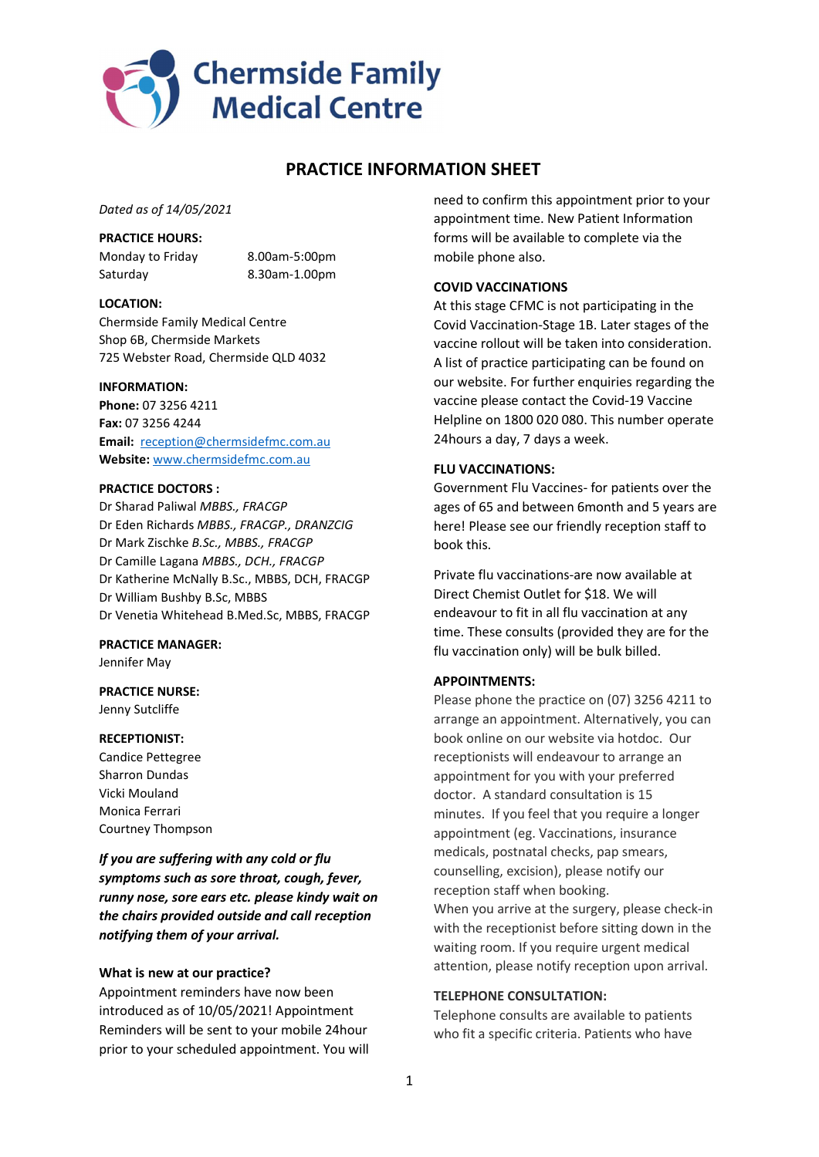

# PRACTICE INFORMATION SHEET

Dated as of 14/05/2021

#### PRACTICE HOURS:

Monday to Friday 8.00am-5:00pm Saturday 8.30am-1.00pm

### LOCATION:

Chermside Family Medical Centre Shop 6B, Chermside Markets 725 Webster Road, Chermside QLD 4032

### INFORMATION:

Phone: 07 3256 4211 Fax: 07 3256 4244 Email: reception@chermsidefmc.com.au Website: www.chermsidefmc.com.au

### PRACTICE DOCTORS :

Dr Sharad Paliwal MBBS., FRACGP Dr Eden Richards MBBS., FRACGP., DRANZCIG Dr Mark Zischke B.Sc., MBBS., FRACGP Dr Camille Lagana MBBS., DCH., FRACGP Dr Katherine McNally B.Sc., MBBS, DCH, FRACGP Dr William Bushby B.Sc, MBBS Dr Venetia Whitehead B.Med.Sc, MBBS, FRACGP

### PRACTICE MANAGER:

Jennifer May

### PRACTICE NURSE: Jenny Sutcliffe

### RECEPTIONIST:

Candice Pettegree Sharron Dundas Vicki Mouland Monica Ferrari Courtney Thompson

If you are suffering with any cold or flu symptoms such as sore throat, cough, fever, runny nose, sore ears etc. please kindy wait on the chairs provided outside and call reception notifying them of your arrival.

### What is new at our practice?

Appointment reminders have now been introduced as of 10/05/2021! Appointment Reminders will be sent to your mobile 24hour prior to your scheduled appointment. You will need to confirm this appointment prior to your appointment time. New Patient Information forms will be available to complete via the mobile phone also.

## COVID VACCINATIONS

At this stage CFMC is not participating in the Covid Vaccination-Stage 1B. Later stages of the vaccine rollout will be taken into consideration. A list of practice participating can be found on our website. For further enquiries regarding the vaccine please contact the Covid-19 Vaccine Helpline on 1800 020 080. This number operate 24hours a day, 7 days a week.

## FLU VACCINATIONS:

Government Flu Vaccines- for patients over the ages of 65 and between 6month and 5 years are here! Please see our friendly reception staff to book this.

Private flu vaccinations-are now available at Direct Chemist Outlet for \$18. We will endeavour to fit in all flu vaccination at any time. These consults (provided they are for the flu vaccination only) will be bulk billed.

### APPOINTMENTS:

Please phone the practice on (07) 3256 4211 to arrange an appointment. Alternatively, you can book online on our website via hotdoc. Our receptionists will endeavour to arrange an appointment for you with your preferred doctor. A standard consultation is 15 minutes. If you feel that you require a longer appointment (eg. Vaccinations, insurance medicals, postnatal checks, pap smears, counselling, excision), please notify our reception staff when booking. When you arrive at the surgery, please check-in with the receptionist before sitting down in the waiting room. If you require urgent medical attention, please notify reception upon arrival.

## TELEPHONE CONSULTATION:

Telephone consults are available to patients who fit a specific criteria. Patients who have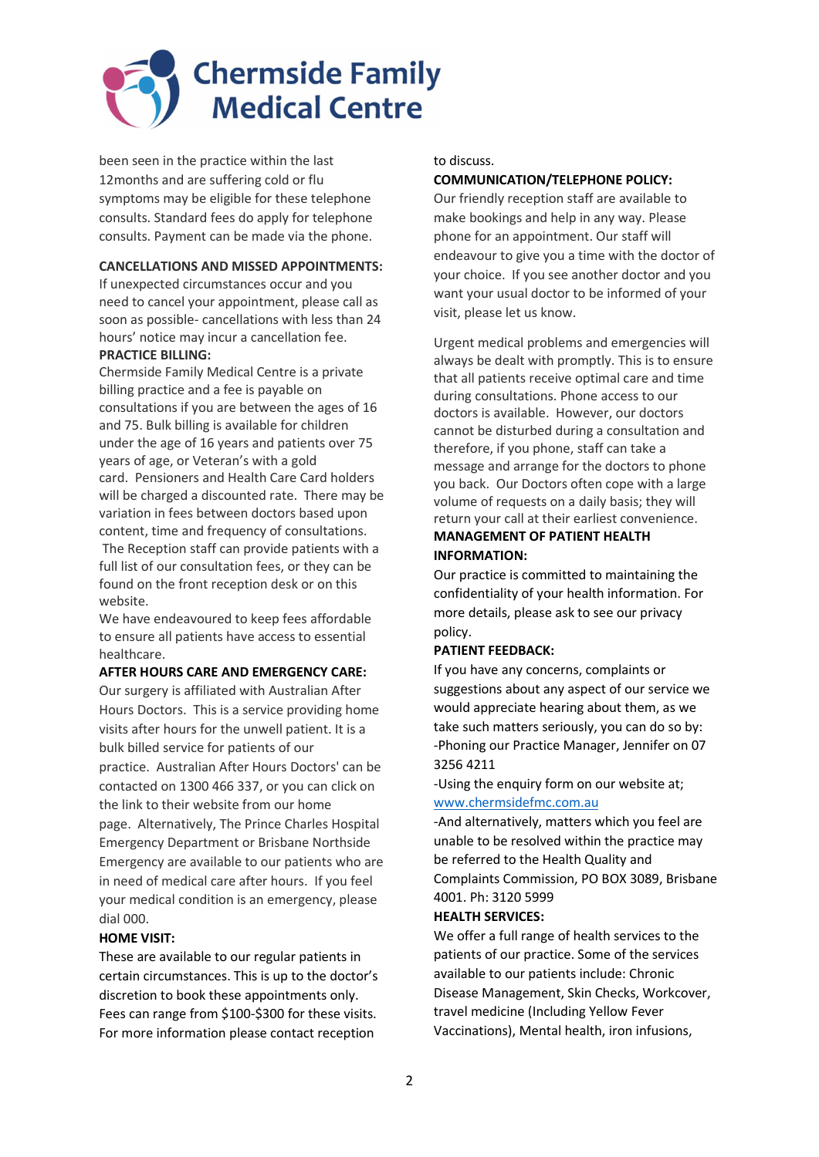

been seen in the practice within the last 12months and are suffering cold or flu symptoms may be eligible for these telephone consults. Standard fees do apply for telephone consults. Payment can be made via the phone.

## CANCELLATIONS AND MISSED APPOINTMENTS:

If unexpected circumstances occur and you need to cancel your appointment, please call as soon as possible- cancellations with less than 24 hours' notice may incur a cancellation fee.

## PRACTICE BILLING:

Chermside Family Medical Centre is a private billing practice and a fee is payable on consultations if you are between the ages of 16 and 75. Bulk billing is available for children under the age of 16 years and patients over 75 years of age, or Veteran's with a gold card. Pensioners and Health Care Card holders will be charged a discounted rate. There may be variation in fees between doctors based upon content, time and frequency of consultations. The Reception staff can provide patients with a full list of our consultation fees, or they can be found on the front reception desk or on this

website. We have endeavoured to keep fees affordable to ensure all patients have access to essential healthcare.

#### AFTER HOURS CARE AND EMERGENCY CARE:

Our surgery is affiliated with Australian After Hours Doctors. This is a service providing home visits after hours for the unwell patient. It is a bulk billed service for patients of our practice. Australian After Hours Doctors' can be contacted on 1300 466 337, or you can click on the link to their website from our home page. Alternatively, The Prince Charles Hospital Emergency Department or Brisbane Northside Emergency are available to our patients who are in need of medical care after hours. If you feel your medical condition is an emergency, please dial 000.

## HOME VISIT:

These are available to our regular patients in certain circumstances. This is up to the doctor's discretion to book these appointments only. Fees can range from \$100-\$300 for these visits. For more information please contact reception

to discuss.

#### COMMUNICATION/TELEPHONE POLICY:

Our friendly reception staff are available to make bookings and help in any way. Please phone for an appointment. Our staff will endeavour to give you a time with the doctor of your choice. If you see another doctor and you want your usual doctor to be informed of your visit, please let us know.

Urgent medical problems and emergencies will always be dealt with promptly. This is to ensure that all patients receive optimal care and time during consultations. Phone access to our doctors is available. However, our doctors cannot be disturbed during a consultation and therefore, if you phone, staff can take a message and arrange for the doctors to phone you back. Our Doctors often cope with a large volume of requests on a daily basis; they will return your call at their earliest convenience. MANAGEMENT OF PATIENT HEALTH

## INFORMATION:

Our practice is committed to maintaining the confidentiality of your health information. For more details, please ask to see our privacy policy.

### PATIENT FEEDBACK:

If you have any concerns, complaints or suggestions about any aspect of our service we would appreciate hearing about them, as we take such matters seriously, you can do so by: -Phoning our Practice Manager, Jennifer on 07 3256 4211

-Using the enquiry form on our website at; www.chermsidefmc.com.au

-And alternatively, matters which you feel are unable to be resolved within the practice may be referred to the Health Quality and Complaints Commission, PO BOX 3089, Brisbane 4001. Ph: 3120 5999

## HEALTH SERVICES:

We offer a full range of health services to the patients of our practice. Some of the services available to our patients include: Chronic Disease Management, Skin Checks, Workcover, travel medicine (Including Yellow Fever Vaccinations), Mental health, iron infusions,